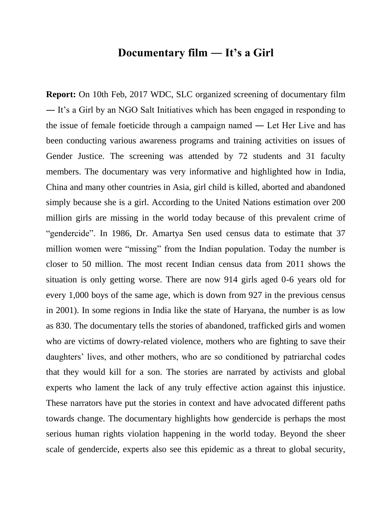# **Documentary film ― It's a Girl**

**Report:** On 10th Feb, 2017 WDC, SLC organized screening of documentary film ― It's a Girl by an NGO Salt Initiatives which has been engaged in responding to the issue of female foeticide through a campaign named ― Let Her Live and has been conducting various awareness programs and training activities on issues of Gender Justice. The screening was attended by 72 students and 31 faculty members. The documentary was very informative and highlighted how in India, China and many other countries in Asia, girl child is killed, aborted and abandoned simply because she is a girl. According to the United Nations estimation over 200 million girls are missing in the world today because of this prevalent crime of "gendercide". In 1986, Dr. Amartya Sen used census data to estimate that 37 million women were "missing" from the Indian population. Today the number is closer to 50 million. The most recent Indian census data from 2011 shows the situation is only getting worse. There are now 914 girls aged 0-6 years old for every 1,000 boys of the same age, which is down from 927 in the previous census in 2001). In some regions in India like the state of Haryana, the number is as low as 830. The documentary tells the stories of abandoned, trafficked girls and women who are victims of dowry-related violence, mothers who are fighting to save their daughters' lives, and other mothers, who are so conditioned by patriarchal codes that they would kill for a son. The stories are narrated by activists and global experts who lament the lack of any truly effective action against this injustice. These narrators have put the stories in context and have advocated different paths towards change. The documentary highlights how gendercide is perhaps the most serious human rights violation happening in the world today. Beyond the sheer scale of gendercide, experts also see this epidemic as a threat to global security,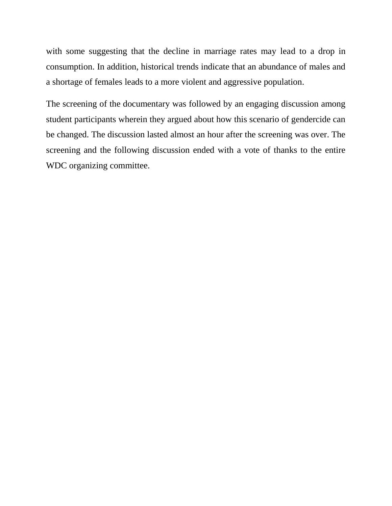with some suggesting that the decline in marriage rates may lead to a drop in consumption. In addition, historical trends indicate that an abundance of males and a shortage of females leads to a more violent and aggressive population.

The screening of the documentary was followed by an engaging discussion among student participants wherein they argued about how this scenario of gendercide can be changed. The discussion lasted almost an hour after the screening was over. The screening and the following discussion ended with a vote of thanks to the entire WDC organizing committee.